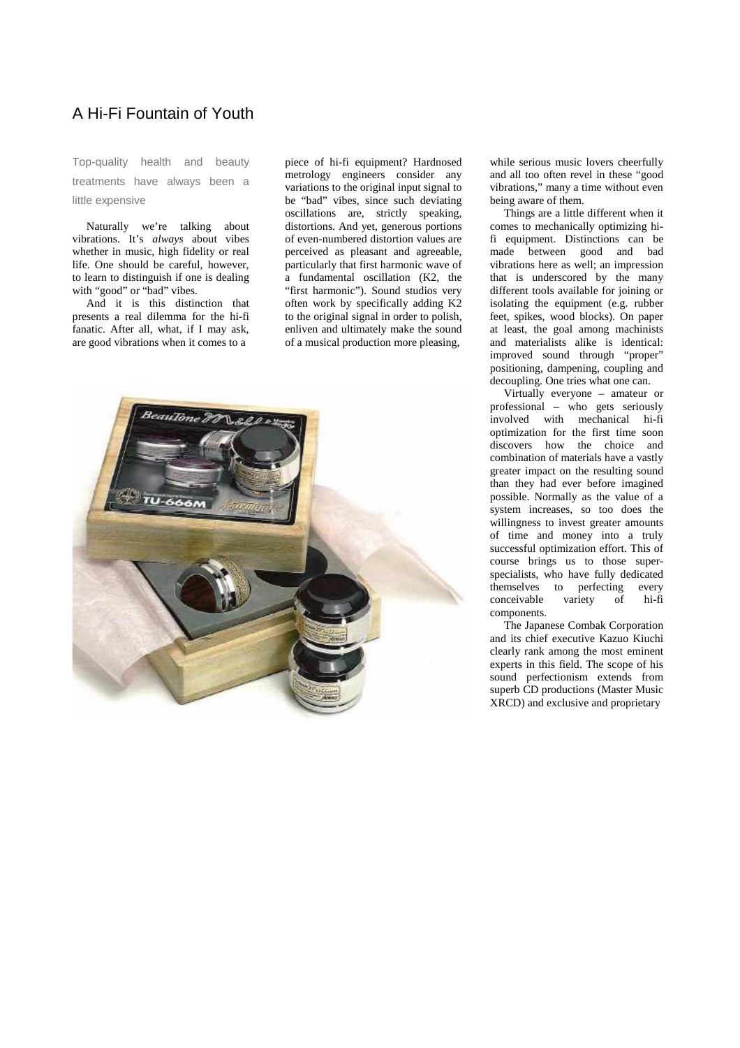## A Hi-Fi Fountain of Youth

Top-quality health and beauty treatments have always been a little expensive

 Naturally we're talking about vibrations. It's *always* about vibes whether in music, high fidelity or real life. One should be careful, however, to learn to distinguish if one is dealing with "good" or "bad" vibes.

 And it is this distinction that presents a real dilemma for the hi-fi fanatic. After all, what, if I may ask, are good vibrations when it comes to a

piece of hi-fi equipment? Hardnosed metrology engineers consider any variations to the original input signal to be "bad" vibes, since such deviating oscillations are, strictly speaking, distortions. And yet, generous portions of even-numbered distortion values are perceived as pleasant and agreeable, particularly that first harmonic wave of a fundamental oscillation (K2, the "first harmonic"). Sound studios very often work by specifically adding K2 to the original signal in order to polish, enliven and ultimately make the sound of a musical production more pleasing,



while serious music lovers cheerfully and all too often revel in these "good vibrations," many a time without even being aware of them.

 Things are a little different when it comes to mechanically optimizing hifi equipment. Distinctions can be made between good and bad vibrations here as well; an impression that is underscored by the many different tools available for joining or isolating the equipment (e.g. rubber feet, spikes, wood blocks). On paper at least, the goal among machinists and materialists alike is identical: improved sound through "proper" positioning, dampening, coupling and decoupling. One tries what one can.

 Virtually everyone – amateur or professional – who gets seriously involved with mechanical hi-fi optimization for the first time soon discovers how the choice and combination of materials have a vastly greater impact on the resulting sound than they had ever before imagined possible. Normally as the value of a system increases, so too does the willingness to invest greater amounts of time and money into a truly successful optimization effort. This of course brings us to those superspecialists, who have fully dedicated themselves to perfecting every conceivable variety of hi-fi components.

 The Japanese Combak Corporation and its chief executive Kazuo Kiuchi clearly rank among the most eminent experts in this field. The scope of his sound perfectionism extends from superb CD productions (Master Music XRCD) and exclusive and proprietary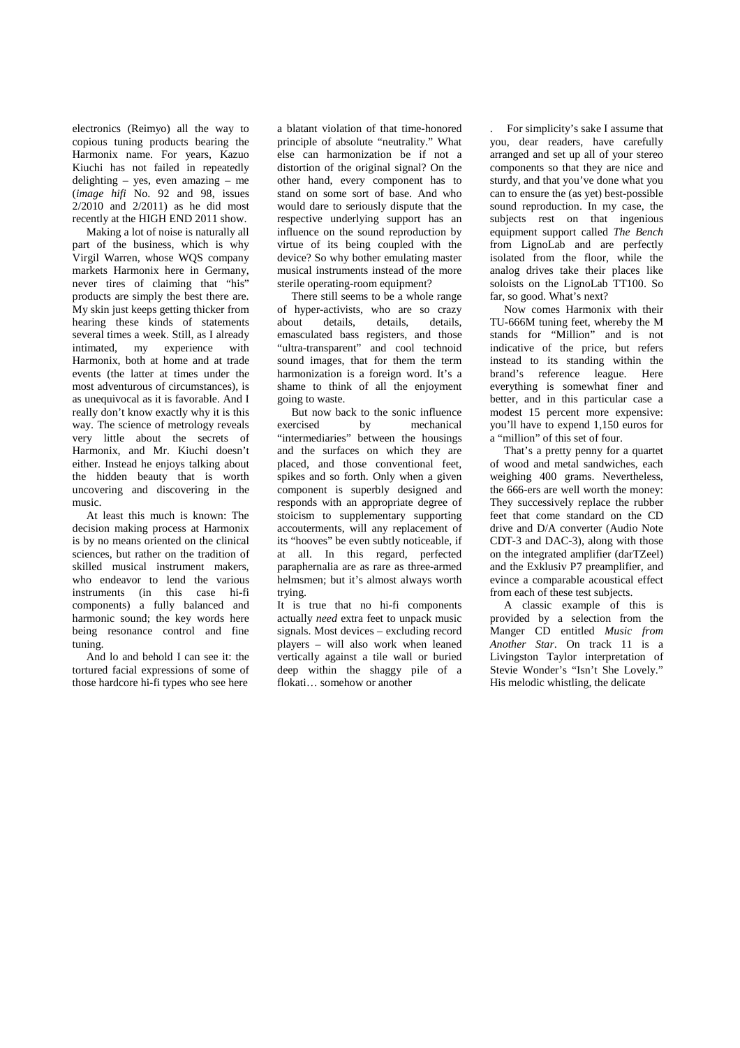electronics (Reimyo) all the way to copious tuning products bearing the Harmonix name. For years, Kazuo Kiuchi has not failed in repeatedly delighting – yes, even amazing – me (*image hifi* No. 92 and 98, issues 2/2010 and 2/2011) as he did most recently at the HIGH END 2011 show.

 Making a lot of noise is naturally all part of the business, which is why Virgil Warren, whose WQS company markets Harmonix here in Germany, never tires of claiming that "his" products are simply the best there are. My skin just keeps getting thicker from hearing these kinds of statements several times a week. Still, as I already intimated, my experience with Harmonix, both at home and at trade events (the latter at times under the most adventurous of circumstances), is as unequivocal as it is favorable. And I really don't know exactly why it is this way. The science of metrology reveals very little about the secrets of Harmonix, and Mr. Kiuchi doesn't either. Instead he enjoys talking about the hidden beauty that is worth uncovering and discovering in the music.

 At least this much is known: The decision making process at Harmonix is by no means oriented on the clinical sciences, but rather on the tradition of skilled musical instrument makers, who endeavor to lend the various instruments (in this case hi-fi components) a fully balanced and harmonic sound; the key words here being resonance control and fine tuning.

 And lo and behold I can see it: the tortured facial expressions of some of those hardcore hi-fi types who see here

a blatant violation of that time-honored principle of absolute "neutrality." What else can harmonization be if not a distortion of the original signal? On the other hand, every component has to stand on some sort of base. And who would dare to seriously dispute that the respective underlying support has an influence on the sound reproduction by virtue of its being coupled with the device? So why bother emulating master musical instruments instead of the more sterile operating-room equipment?

 There still seems to be a whole range of hyper-activists, who are so crazy<br>about details, details, details, details, emasculated bass registers, and those "ultra-transparent" and cool technoid sound images, that for them the term harmonization is a foreign word. It's a shame to think of all the enjoyment going to waste.

 But now back to the sonic influence exercised by mechanical "intermediaries" between the housings and the surfaces on which they are placed, and those conventional feet, spikes and so forth. Only when a given component is superbly designed and responds with an appropriate degree of stoicism to supplementary supporting accouterments, will any replacement of its "hooves" be even subtly noticeable, if at all. In this regard, perfected paraphernalia are as rare as three-armed helmsmen; but it's almost always worth trying.

It is true that no hi-fi components actually *need* extra feet to unpack music signals. Most devices – excluding record players – will also work when leaned vertically against a tile wall or buried deep within the shaggy pile of a flokati… somehow or another

. For simplicity's sake I assume that you, dear readers, have carefully arranged and set up all of your stereo components so that they are nice and sturdy, and that you've done what you can to ensure the (as yet) best-possible sound reproduction. In my case, the subjects rest on that ingenious equipment support called *The Bench* from LignoLab and are perfectly isolated from the floor, while the analog drives take their places like soloists on the LignoLab TT100. So far, so good. What's next?

 Now comes Harmonix with their TU-666M tuning feet, whereby the M stands for "Million" and is not indicative of the price, but refers instead to its standing within the brand's reference league. Here everything is somewhat finer and better, and in this particular case a modest 15 percent more expensive: you'll have to expend 1,150 euros for a "million" of this set of four.

 That's a pretty penny for a quartet of wood and metal sandwiches, each weighing 400 grams. Nevertheless, the 666-ers are well worth the money: They successively replace the rubber feet that come standard on the CD drive and D/A converter (Audio Note CDT-3 and DAC-3), along with those on the integrated amplifier (darTZeel) and the Exklusiv P7 preamplifier, and evince a comparable acoustical effect from each of these test subjects.

 A classic example of this is provided by a selection from the Manger CD entitled *Music from Another Star*. On track 11 is a Livingston Taylor interpretation of Stevie Wonder's "Isn't She Lovely." His melodic whistling, the delicate